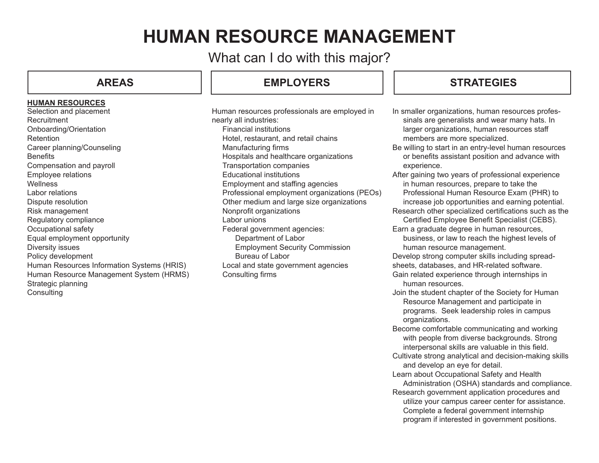# **HUMAN RESOURCE MANAGEMENT**

What can I do with this major?

### **HUMAN RESOURCES**

Selection and placement **Recruitment** Onboarding/Orientation RetentionCareer planning/Counseling **Benefits** Compensation and payroll Employee relations WellnessLabor relationsDispute resolution Risk management Regulatory compliance Occupational safety Equal employment opportunity Diversity issues Policy development Human Resources Information Systems (HRIS) Human Resource Management System (HRMS) Strategic planning **Consulting** 

# **AREAS EMPLOYERS**

Human resources professionals are employed in nearly all industries: Financial institutions Hotel, restaurant, and retail chains Manufacturing firms Hospitals and healthcare organizations Transportation companies Educational institutionsEmployment and staffing agencies Professional employment organizations (PEOs) Other medium and large size organizations Nonprofit organizations Labor unions Federal government agencies: Department of Labor Employment Security Commission Bureau of Labor Local and state government agencies Consulting firms

# **STRATEGIES**

In smaller organizations, human resources profes sinals are generalists and wear many hats. In larger organizations, human resources staff members are more specialized.

Be willing to start in an entry-level human resources or benefits assistant position and advance with experience.

After gaining two years of professional experience in human resources, prepare to take the Professional Human Resource Exam (PHR) to increase job opportunities and earning potential.

- Research other specialized certifications such as the Certified Employee Benefit Specialist (CEBS).
- Earn a graduate degree in human resources, business, or law to reach the highest levels of human resource management.

Develop strong computer skills including spread-

sheets, databases, and HR-related software.

Gain related experience through internships in human resources.

- Join the student chapter of the Society for Human Resource Management and participate in programs. Seek leadership roles in campus organizations.
- Become comfortable communicating and working with people from diverse backgrounds. Strong interpersonal skills are valuable in this field.
- Cultivate strong analytical and decision-making skills and develop an eye for detail.
- Learn about Occupational Safety and Health
- Administration (OSHA) standards and compliance. Research government application procedures and utilize your campus career center for assistance. Complete a federal government internship program if interested in government positions.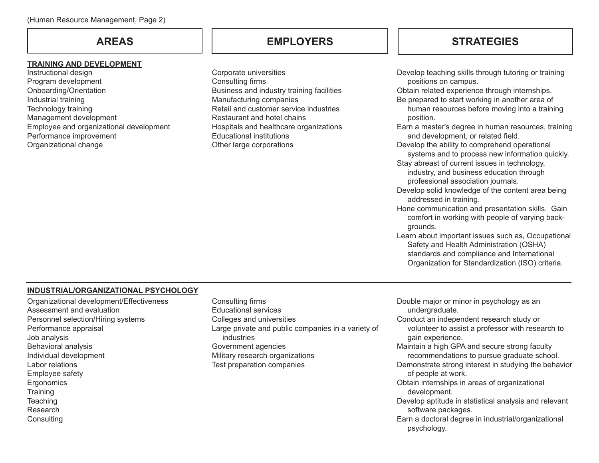# **AREAS**

### **TRAINING AND DEVELOPMENT**

Instructional design Program development Onboarding/Orientation Industrial training Technology training Management development Employee and organizational development Performance improvement Organizational change

Corporate universities Consulting firms Business and industry training facilities Manufacturing companies Retail and customer service industriesRestaurant and hotel chainsHospitals and healthcare organizations Educational institutionsOther large corporations

# **EMPLOYERS STRATEGIES**

Develop teaching skills through tutoring or training positions on campus. Obtain related experience through internships. Be prepared to start working in another area of human resources before moving into a training position. Earn a master's degree in human resources, training and development, or related field. Develop the ability to comprehend operational systems and to process new information quickly. Stay abreast of current issues in technology, industry, and business education through professional association journals. Develop solid knowledge of the content area being addressed in training. Hone communication and presentation skills. Gain comfort in working with people of varying back grounds. Learn about important issues such as, Occupational Safety and Health Administration (OSHA) standards and compliance and International Organization for Standardization (ISO) criteria.

### **INDUSTRIAL/ORGANIZATIONAL PSYCHOLOGY**

- Organizational development/Effectiveness Assessment and evaluationPersonnel selection/Hiring systems Performance appraisal Job analysis Behavioral analysis Individual development Labor relationsEmployee safety **Ergonomics Training Teaching** Research**Consulting**
- Consulting firms Educational servicesColleges and universities Large private and public companies in a variety of industriesGovernment agencies Military research organizations Test preparation companies

Double major or minor in psychology as an undergraduate. Conduct an independent research study or volunteer to assist a professor with research to gain experience. Maintain a high GPA and secure strong faculty recommendations to pursue graduate school. Demonstrate strong interest in studying the behavior of people at work. Obtain internships in areas of organizational

 development. Develop aptitude in statistical analysis and relevant

software packages.

Earn a doctoral degree in industrial/organizational psychology.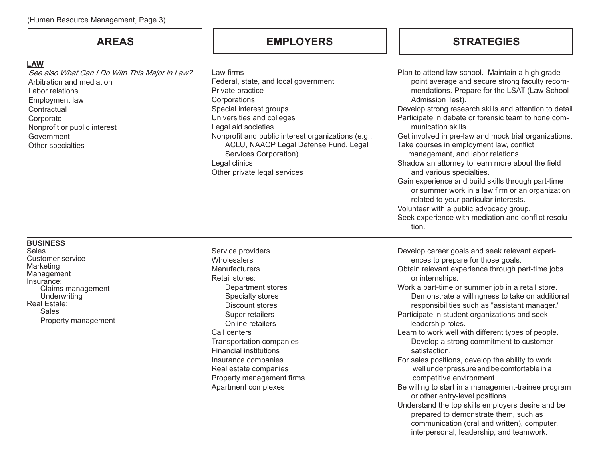## **AREAS**

### **LAW**

See also What Can I Do With This Major in Law? Arbitration and mediationLabor relationsEmployment law **Contractual Corporate** Nonprofit or public interest GovernmentOther specialties

Law firms Federal, state, and local government Private practice **Corporations** Special interest groups Universities and colleges Legal aid societies Nonprofit and public interest organizations (e.g., ACLU, NAACP Legal Defense Fund, Legal Services Corporation) Legal clinics Other private legal services

# **EMPLOYERS STRATEGIES**

Plan to attend law school. Maintain a high grade point average and secure strong faculty recommendations. Prepare for the LSAT (Law School Admission Test). Develop strong research skills and attention to detail. Participate in debate or forensic team to hone communication skills.Get involved in pre-law and mock trial organizations. Take courses in employment law, conflict management, and labor relations. Shadow an attorney to learn more about the field and various specialties. Gain experience and build skills through part-time or summer work in a law firm or an organization related to your particular interests. Volunteer with a public advocacy group. Seek experience with mediation and conflict resolution.

#### **BUSINESS**

**Sales** Customer serviceMarketing **Management** Insurance: Claims management **Underwriting** Real Estate: SalesProperty management Service providers **Wholesalers Manufacturers** Retail stores: Department stores Specialty stores Discount stores Super retailers Online retailersCall centersTransportation companies Financial institutionsInsurance companies Real estate companies Property management firms Apartment complexes

Develop career goals and seek relevant experiences to prepare for those goals.

- Obtain relevant experience through part-time jobs or internships.
- Work a part-time or summer job in a retail store. Demonstrate a willingness to take on additional responsibilities such as "assistant manager."
- Participate in student organizations and seek leadership roles.
- Learn to work well with different types of people. Develop a strong commitment to customer satisfaction.
- For sales positions, develop the ability to work well under pressure and be comfortable in a competitive environment.
- Be willing to start in a management-trainee program or other entry-level positions.
- Understand the top skills employers desire and be prepared to demonstrate them, such as communication (oral and written), computer, interpersonal, leadership, and teamwork.